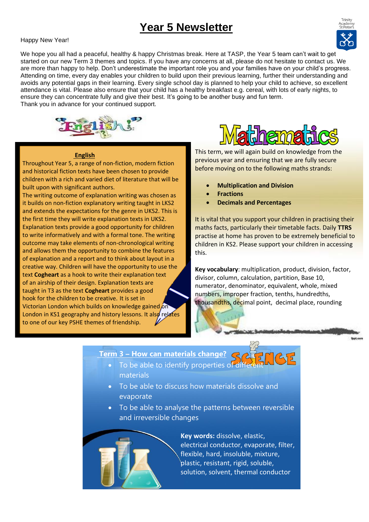# **Year 5 Newsletter**

### Happy New Year!



We hope you all had a peaceful, healthy & happy Christmas break. Here at TASP, the Year 5 team can't wait to get started on our new Term 3 themes and topics. If you have any concerns at all, please do not hesitate to contact us. We are more than happy to help. Don't underestimate the important role you and your families have on your child's progress. Attending on time, every day enables your children to build upon their previous learning, further their understanding and avoids any potential gaps in their learning. Every single school day is planned to help your child to achieve, so excellent attendance is vital. Please also ensure that your child has a healthy breakfast e.g. cereal, with lots of early nights, to ensure they can concentrate fully and give their best. It's going to be another busy and fun term. Thank you in advance for your continued support.



Throughout Year 5, a range of non-fiction, modern fiction and historical fiction texts have been chosen to provide children with a rich and varied diet of literature that will be

The writing outcome of explanation writing was chosen as it builds on non-fiction explanatory writing taught in LKS2 and extends the expectations for the genre in UKS2. This is the first time they will write explanation texts in UKS2. Explanation texts provide a good opportunity for children to write informatively and with a formal tone. The writing outcome may take elements of non-chronological writing and allows them the opportunity to combine the features of explanation and a report and to think about layout in a creative way. Children will have the opportunity to use the text **Cogheart** as a hook to write their explanation text of an airship of their design. Explanation texts are taught in T3 as the text **Cogheart** provides a good hook for the children to be creative. It is set in

Victorian London which builds on knowledge gained on London in KS1 geography and history lessons. It also relates

to one of our key PSHE themes of friendship.

 **English**

built upon with significant authors.

**This term, we will again build on knowledge from the** previous year and ensuring that we are fully secure before moving on to the following maths strands:

- **Multiplication and Division**
- **Fractions**
- **Decimals and Percentages**

It is vital that you support your children in practising their maths facts, particularly their timetable facts. Daily **TTRS**  practise at home has proven to be extremely beneficial to children in KS2. Please support your children in accessing this.

**Key vocabulary**: multiplication, product, division, factor, divisor, column, calculation, partition, Base 10, numerator, denominator, equivalent, whole, mixed numbers, improper fraction, tenths, hundredths, thousandths, decimal point, decimal place, rounding

> • the idea of the Earth's rotation and use this to explain day and night and the apparent movement

# **Term 3 – How can materials change?**

- To be able to identify properties of different materials
- To be able to discuss how materials dissolve and evaporate
- To be able to analyse the patterns between reversible and irreversible changes



**Key words:** dissolve, elastic, electrical conductor, evaporate, filter, flexible, hard, insoluble, mixture, plastic, resistant, rigid, soluble, solution, solvent, thermal conductor

of the sun across the sun across the sky  $\alpha$